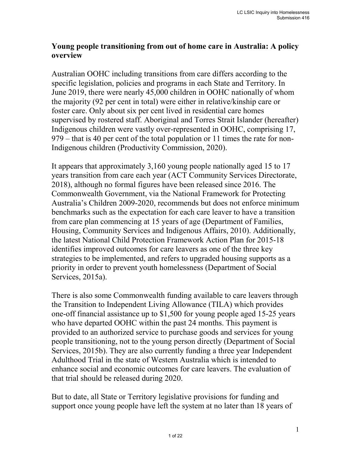## **Young people transitioning from out of home care in Australia: A policy overview**

Australian OOHC including transitions from care differs according to the specific legislation, policies and programs in each State and Territory. In June 2019, there were nearly 45,000 children in OOHC nationally of whom the majority (92 per cent in total) were either in relative/kinship care or foster care. Only about six per cent lived in residential care homes supervised by rostered staff. Aboriginal and Torres Strait Islander (hereafter) Indigenous children were vastly over-represented in OOHC, comprising 17, 979 – that is 40 per cent of the total population or 11 times the rate for non-Indigenous children (Productivity Commission, 2020).

It appears that approximately 3,160 young people nationally aged 15 to 17 years transition from care each year (ACT Community Services Directorate, 2018), although no formal figures have been released since 2016. The Commonwealth Government, via the National Framework for Protecting Australia's Children 2009-2020, recommends but does not enforce minimum benchmarks such as the expectation for each care leaver to have a transition from care plan commencing at 15 years of age (Department of Families, Housing, Community Services and Indigenous Affairs, 2010). Additionally, the latest National Child Protection Framework Action Plan for 2015-18 identifies improved outcomes for care leavers as one of the three key strategies to be implemented, and refers to upgraded housing supports as a priority in order to prevent youth homelessness (Department of Social Services, 2015a).

There is also some Commonwealth funding available to care leavers through the Transition to Independent Living Allowance (TILA) which provides one-off financial assistance up to \$1,500 for young people aged 15-25 years who have departed OOHC within the past 24 months. This payment is provided to an authorized service to purchase goods and services for young people transitioning, not to the young person directly (Department of Social Services, 2015b). They are also currently funding a three year Independent Adulthood Trial in the state of Western Australia which is intended to enhance social and economic outcomes for care leavers. The evaluation of that trial should be released during 2020.

But to date, all State or Territory legislative provisions for funding and support once young people have left the system at no later than 18 years of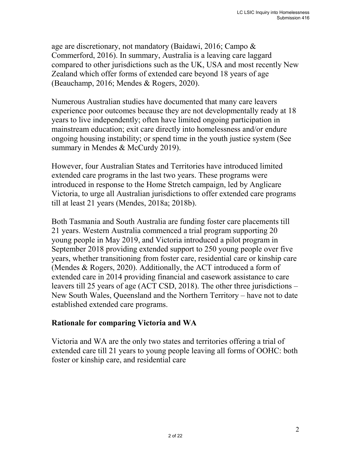age are discretionary, not mandatory (Baidawi, 2016; Campo & Commerford, 2016). In summary, Australia is a leaving care laggard compared to other jurisdictions such as the UK, USA and most recently New Zealand which offer forms of extended care beyond 18 years of age (Beauchamp, 2016; Mendes & Rogers, 2020).

Numerous Australian studies have documented that many care leavers experience poor outcomes because they are not developmentally ready at 18 years to live independently; often have limited ongoing participation in mainstream education; exit care directly into homelessness and/or endure ongoing housing instability; or spend time in the youth justice system (See summary in Mendes & McCurdy 2019).

However, four Australian States and Territories have introduced limited extended care programs in the last two years. These programs were introduced in response to the Home Stretch campaign, led by Anglicare Victoria, to urge all Australian jurisdictions to offer extended care programs till at least 21 years (Mendes, 2018a; 2018b).

Both Tasmania and South Australia are funding foster care placements till 21 years. Western Australia commenced a trial program supporting 20 young people in May 2019, and Victoria introduced a pilot program in September 2018 providing extended support to 250 young people over five years, whether transitioning from foster care, residential care or kinship care (Mendes & Rogers, 2020). Additionally, the ACT introduced a form of extended care in 2014 providing financial and casework assistance to care leavers till 25 years of age (ACT CSD, 2018). The other three jurisdictions – New South Wales, Queensland and the Northern Territory – have not to date established extended care programs.

## **Rationale for comparing Victoria and WA**

Victoria and WA are the only two states and territories offering a trial of extended care till 21 years to young people leaving all forms of OOHC: both foster or kinship care, and residential care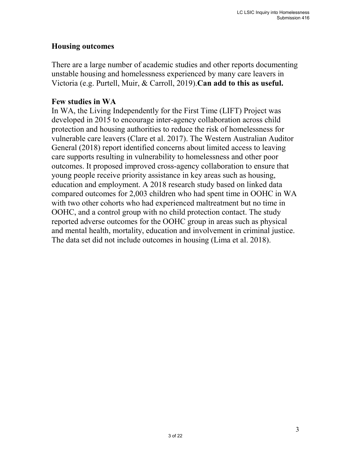### **Housing outcomes**

There are a large number of academic studies and other reports documenting unstable housing and homelessness experienced by many care leavers in Victoria (e.g. Purtell, Muir, & Carroll, 2019).**Can add to this as useful.**

### **Few studies in WA**

In WA, the Living Independently for the First Time (LIFT) Project was developed in 2015 to encourage inter-agency collaboration across child protection and housing authorities to reduce the risk of homelessness for vulnerable care leavers (Clare et al. 2017). The Western Australian Auditor General (2018) report identified concerns about limited access to leaving care supports resulting in vulnerability to homelessness and other poor outcomes. It proposed improved cross-agency collaboration to ensure that young people receive priority assistance in key areas such as housing, education and employment. A 2018 research study based on linked data compared outcomes for 2,003 children who had spent time in OOHC in WA with two other cohorts who had experienced maltreatment but no time in OOHC, and a control group with no child protection contact. The study reported adverse outcomes for the OOHC group in areas such as physical and mental health, mortality, education and involvement in criminal justice. The data set did not include outcomes in housing (Lima et al. 2018).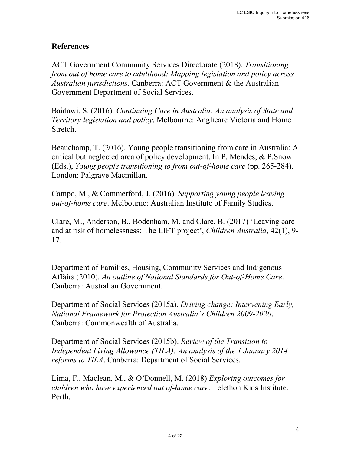## **References**

ACT Government Community Services Directorate (2018). *Transitioning from out of home care to adulthood: Mapping legislation and policy across Australian jurisdictions*. Canberra: ACT Government & the Australian Government Department of Social Services.

Baidawi, S. (2016). *Continuing Care in Australia: An analysis of State and Territory legislation and policy*. Melbourne: Anglicare Victoria and Home Stretch.

Beauchamp, T. (2016). Young people transitioning from care in Australia: A critical but neglected area of policy development. In P. Mendes, & P.Snow (Eds.), *Young people transitioning to from out-of-home care* (pp. 265-284). London: Palgrave Macmillan.

Campo, M., & Commerford, J. (2016). *Supporting young people leaving out-of-home care*. Melbourne: Australian Institute of Family Studies.

Clare, M., Anderson, B., Bodenham, M. and Clare, B. (2017) 'Leaving care and at risk of homelessness: The LIFT project', *Children Australia*, 42(1), 9- 17.

Department of Families, Housing, Community Services and Indigenous Affairs (2010). *An outline of National Standards for Out-of-Home Care*. Canberra: Australian Government.

Department of Social Services (2015a). *Driving change: Intervening Early, National Framework for Protection Australia's Children 2009-2020*. Canberra: Commonwealth of Australia.

Department of Social Services (2015b). *Review of the Transition to Independent Living Allowance (TILA): An analysis of the 1 January 2014 reforms to TILA*. Canberra: Department of Social Services.

Lima, F., Maclean, M., & O'Donnell, M. (2018) *Exploring outcomes for children who have experienced out of-home care*. Telethon Kids Institute. Perth.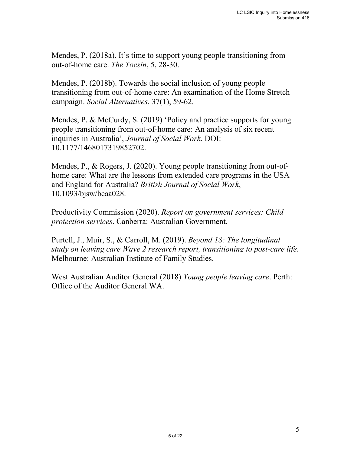Mendes, P. (2018a). It's time to support young people transitioning from out-of-home care. *The Tocsin*, 5, 28-30.

Mendes, P. (2018b). Towards the social inclusion of young people transitioning from out-of-home care: An examination of the Home Stretch campaign. *Social Alternatives*, 37(1), 59-62.

Mendes, P. & McCurdy, S. (2019) 'Policy and practice supports for young people transitioning from out-of-home care: An analysis of six recent inquiries in Australia', *Journal of Social Work*, DOI: 10.1177/1468017319852702.

Mendes, P., & Rogers, J. (2020). Young people transitioning from out-ofhome care: What are the lessons from extended care programs in the USA and England for Australia? *British Journal of Social Work*, 10.1093/bjsw/bcaa028.

Productivity Commission (2020). *Report on government services: Child protection services*. Canberra: Australian Government.

Purtell, J., Muir, S., & Carroll, M. (2019). *Beyond 18: The longitudinal study on leaving care Wave 2 research report, transitioning to post-care life*. Melbourne: Australian Institute of Family Studies.

West Australian Auditor General (2018) *Young people leaving care*. Perth: Office of the Auditor General WA.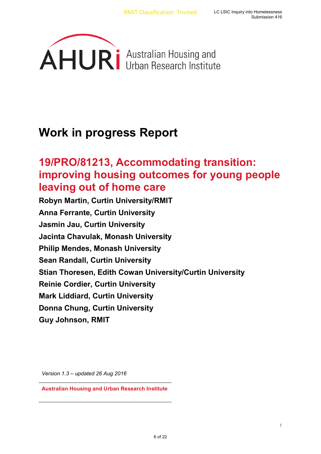

# **Work in progress Report**

# **19/PRO/81213, Accommodating transition: improving housing outcomes for young people leaving out of home care**

**Robyn Martin, Curtin University/RMIT Anna Ferrante, Curtin University Jasmin Jau, Curtin University Jacinta Chavulak, Monash University Philip Mendes, Monash University Sean Randall, Curtin University Stian Thoresen, Edith Cowan University/Curtin University Reinie Cordier, Curtin University Mark Liddiard, Curtin University Donna Chung, Curtin University Guy Johnson, RMIT** 

*Version 1.3 – updated 26 Aug 2016*

**Australian Housing and Urban Research Institute**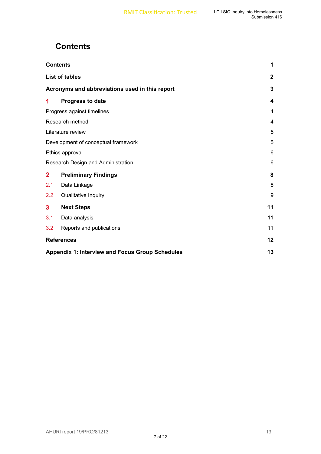## **Contents**

|                                                        | <b>Contents</b>             | 1            |
|--------------------------------------------------------|-----------------------------|--------------|
| <b>List of tables</b>                                  |                             | $\mathbf{2}$ |
| Acronyms and abbreviations used in this report         |                             |              |
| 1                                                      | Progress to date            | 4            |
| Progress against timelines                             |                             | 4            |
|                                                        | Research method             | 4            |
|                                                        | Literature review           | 5            |
| Development of conceptual framework                    |                             |              |
| Ethics approval                                        |                             | 6            |
| Research Design and Administration                     |                             | 6            |
| $\overline{2}$                                         | <b>Preliminary Findings</b> | 8            |
| 2.1                                                    | Data Linkage                | 8            |
| 2.2                                                    | <b>Qualitative Inquiry</b>  | 9            |
| $\mathbf{3}$                                           | <b>Next Steps</b>           | 11           |
| 3.1                                                    | Data analysis               | 11           |
| 3.2                                                    | Reports and publications    | 11           |
| <b>References</b>                                      |                             | 12           |
| <b>Appendix 1: Interview and Focus Group Schedules</b> |                             |              |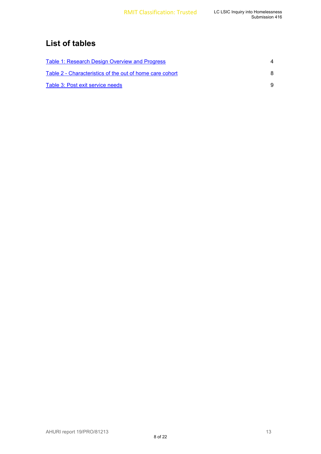## **List of tables**

| Table 1: Research Design Overview and Progress           |   |
|----------------------------------------------------------|---|
| Table 2 - Characteristics of the out of home care cohort | 8 |
| Table 3: Post exit service needs                         |   |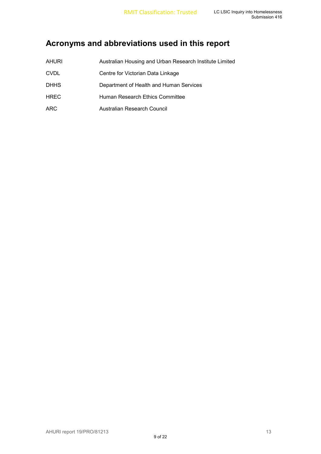## **Acronyms and abbreviations used in this report**

| <b>AHURI</b> | Australian Housing and Urban Research Institute Limited |
|--------------|---------------------------------------------------------|
| <b>CVDL</b>  | Centre for Victorian Data Linkage                       |
| <b>DHHS</b>  | Department of Health and Human Services                 |
| <b>HREC</b>  | Human Research Ethics Committee                         |
| <b>ARC</b>   | Australian Research Council                             |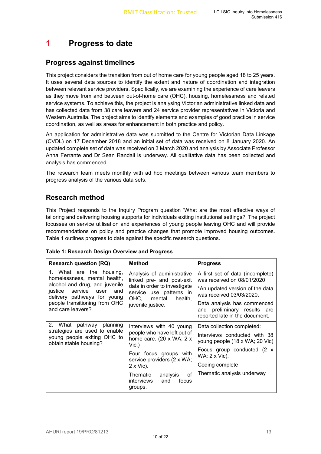#### 1 **Progress to date**

### **Progress against timelines**

This project considers the transition from out of home care for young people aged 18 to 25 years. It uses several data sources to identify the extent and nature of coordination and integration between relevant service providers. Specifically, we are examining the experience of care leavers as they move from and between out-of-home care (OHC), housing, homelessness and related service systems. To achieve this, the project is analysing Victorian administrative linked data and has collected data from 38 care leavers and 24 service provider representatives in Victoria and Western Australia. The project aims to identify elements and examples of good practice in service coordination, as well as areas for enhancement in both practice and policy.

An application for administrative data was submitted to the Centre for Victorian Data Linkage (CVDL) on 17 December 2018 and an initial set of data was received on 8 January 2020. An updated complete set of data was received on 3 March 2020 and analysis by Associate Professor Anna Ferrante and Dr Sean Randall is underway. All qualitative data has been collected and analysis has commenced.

The research team meets monthly with ad hoc meetings between various team members to progress analysis of the various data sets.

### **Research method**

This Project responds to the Inquiry Program question 'What are the most effective ways of tailoring and delivering housing supports for individuals exiting institutional settings?' The project focusses on service utilisation and experiences of young people leaving OHC and will provide recommendations on policy and practice changes that promote improved housing outcomes. Table 1 outlines progress to date against the specific research questions.

#### **Table 1: Research Design Overview and Progress**

| <b>Research question (RQ)</b>                                                                      | Method                                                                            | <b>Progress</b>                                                                              |  |  |
|----------------------------------------------------------------------------------------------------|-----------------------------------------------------------------------------------|----------------------------------------------------------------------------------------------|--|--|
| 1. What are the housing,<br>homelessness, mental health,                                           | Analysis of administrative<br>linked pre- and post-exit                           | A first set of data (incomplete)<br>was received on 08/01/2020                               |  |  |
| alcohol and drug, and juvenile<br>service<br>justice<br>user<br>and<br>delivery pathways for young | data in order to investigate<br>service use patterns in<br>OHC, mental<br>health, | *An updated version of the data<br>was received 03/03/2020.                                  |  |  |
| people transitioning from OHC<br>and care leavers?                                                 | juvenile justice.                                                                 | Data analysis has commenced<br>and preliminary results are<br>reported late in the document. |  |  |
| 2. What pathway planning                                                                           | Interviews with 40 young                                                          | Data collection completed:                                                                   |  |  |
| strategies are used to enable<br>young people exiting OHC to<br>obtain stable housing?             | people who have left out of<br>home care. $(20 \times WA; 2 \times$<br>Vic.       | Interviews conducted with 38<br>young people (18 x WA; 20 Vic)                               |  |  |
|                                                                                                    | Four focus groups with                                                            | Focus group conducted (2 x<br>WA; 2 x Vic).                                                  |  |  |
|                                                                                                    | service providers (2 x WA;<br>$2 \times$ Vic).                                    | Coding complete                                                                              |  |  |
|                                                                                                    | οf<br>analysis<br>Thematic<br>interviews<br>focus<br>and<br>groups.               | Thematic analysis underway                                                                   |  |  |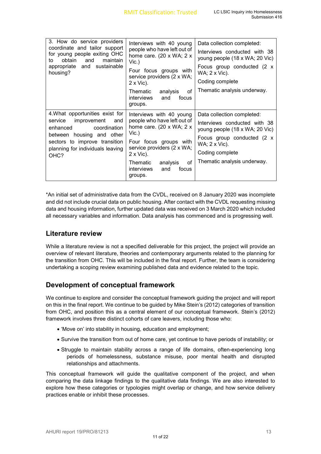| 3. How do service providers<br>coordinate and tailor support<br>for young people exiting OHC<br>obtain<br>maintain<br>and<br>to<br>and sustainable<br>appropriate<br>housing?                          | Interviews with 40 young<br>people who have left out of<br>home care. (20 x WA; $2 x$<br>$Vic.$ )<br>Four focus groups with<br>service providers (2 x WA;<br>$2 \times$ Vic).<br>analysis<br>οf<br>Thematic<br>interviews<br>and<br>focus<br>groups. | Data collection completed:<br>Interviews conducted with 38<br>young people (18 x WA; 20 Vic)<br>Focus group conducted (2 x<br>WA; 2 x Vic).<br>Coding complete<br>Thematic analysis underway. |
|--------------------------------------------------------------------------------------------------------------------------------------------------------------------------------------------------------|------------------------------------------------------------------------------------------------------------------------------------------------------------------------------------------------------------------------------------------------------|-----------------------------------------------------------------------------------------------------------------------------------------------------------------------------------------------|
| 4. What opportunities exist for<br>improvement<br>and<br>service<br>coordination<br>enhanced<br>between housing and other<br>sectors to improve transition<br>planning for individuals leaving<br>OHC? | Interviews with 40 young<br>people who have left out of<br>home care. (20 x WA; $2 x$<br>Vic.<br>Four focus groups with<br>service providers (2 x WA;<br>$2 \times$ Vic).<br>οf<br>Thematic<br>analysis<br>interviews<br>focus<br>and<br>groups.     | Data collection completed:<br>Interviews conducted with 38<br>young people (18 x WA; 20 Vic)<br>Focus group conducted (2 x<br>WA; 2 x Vic).<br>Coding complete<br>Thematic analysis underway. |

\*An initial set of administrative data from the CVDL, received on 8 January 2020 was incomplete and did not include crucial data on public housing. After contact with the CVDL requesting missing data and housing information, further updated data was received on 3 March 2020 which included all necessary variables and information. Data analysis has commenced and is progressing well.

### **Literature review**

While a literature review is not a specified deliverable for this project, the project will provide an overview of relevant literature, theories and contemporary arguments related to the planning for the transition from OHC. This will be included in the final report. Further, the team is considering undertaking a scoping review examining published data and evidence related to the topic.

### **Development of conceptual framework**

We continue to explore and consider the conceptual framework guiding the project and will report on this in the final report. We continue to be guided by Mike Stein's (2012) categories of transition from OHC, and position this as a central element of our conceptual framework. Stein's (2012) framework involves three distinct cohorts of care leavers, including those who:

- 'Move on' into stability in housing, education and employment;
- Survive the transition from out of home care, yet continue to have periods of instability; or
- Struggle to maintain stability across a range of life domains, often-experiencing long periods of homelessness, substance misuse, poor mental health and disrupted relationships and attachments.

This conceptual framework will guide the qualitative component of the project, and when comparing the data linkage findings to the qualitative data findings. We are also interested to explore how these categories or typologies might overlap or change, and how service delivery practices enable or inhibit these processes.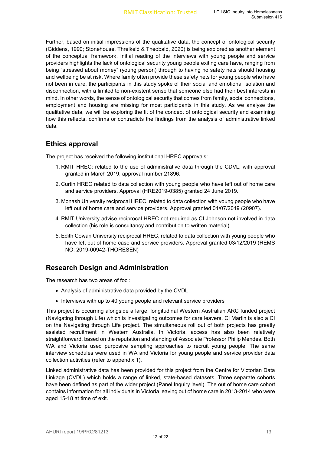Further, based on initial impressions of the qualitative data, the concept of ontological security (Giddens, 1990; Stonehouse, Threlkeld & Theobald, 2020) is being explored as another element of the conceptual framework. Initial reading of the interviews with young people and service providers highlights the lack of ontological security young people exiting care have, ranging from being "stressed about money" (young person) through to having no safety nets should housing and wellbeing be at risk. Where family often provide these safety nets for young people who have not been in care, the participants in this study spoke of their social and emotional isolation and disconnection, with a limited to non-existent sense that someone else had their best interests in mind. In other words, the sense of ontological security that comes from family, social connections, employment and housing are missing for most participants in this study. As we analyse the qualitative data, we will be exploring the fit of the concept of ontological security and examining how this reflects, confirms or contradicts the findings from the analysis of administrative linked data.

#### **Ethics approval**

The project has received the following institutional HREC approvals:

- 1. RMIT HREC: related to the use of administrative data through the CDVL, with approval granted in March 2019, approval number 21896.
- 2. Curtin HREC related to data collection with young people who have left out of home care and service providers. Approval (HRE2019-0385) granted 24 June 2019.
- 3. Monash University reciprocal HREC, related to data collection with young people who have left out of home care and service providers. Approval granted 01/07/2019 (20907).
- 4. RMIT University advise reciprocal HREC not required as CI Johnson not involved in data collection (his role is consultancy and contribution to written material).
- 5. Edith Cowan University reciprocal HREC, related to data collection with young people who have left out of home case and service providers. Approval granted 03/12/2019 (REMS NO: 2019-00942-THORESEN)

### **Research Design and Administration**

The research has two areas of foci:

- Analysis of administrative data provided by the CVDL
- Interviews with up to 40 young people and relevant service providers

This project is occurring alongside a large, longitudinal Western Australian ARC funded project (Navigating through Life) which is investigating outcomes for care leavers. CI Martin is also a CI on the Navigating through Life project. The simultaneous roll out of both projects has greatly assisted recruitment in Western Australia. In Victoria, access has also been relatively straightforward, based on the reputation and standing of Associate Professor Philip Mendes. Both WA and Victoria used purposive sampling approaches to recruit young people. The same interview schedules were used in WA and Victoria for young people and service provider data collection activities (refer to appendix 1).

Linked administrative data has been provided for this project from the Centre for Victorian Data Linkage (CVDL) which holds a range of linked, state-based datasets. Three separate cohorts have been defined as part of the wider project (Panel Inquiry level). The out of home care cohort contains information for all individuals in Victoria leaving out of home care in 2013-2014 who were aged 15-18 at time of exit.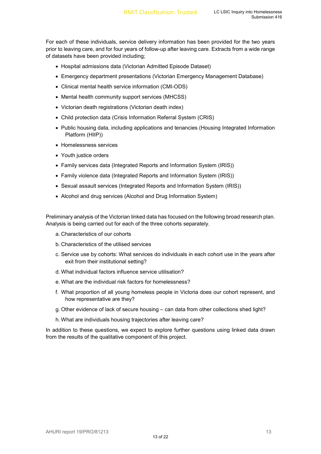For each of these individuals, service delivery information has been provided for the two years prior to leaving care, and for four years of follow-up after leaving care. Extracts from a wide range of datasets have been provided including;

- Hospital admissions data (Victorian Admitted Episode Dataset)
- Emergency department presentations (Victorian Emergency Management Database)
- Clinical mental health service information (CMI-ODS)
- Mental health community support services (MHCSS)
- Victorian death registrations (Victorian death index)
- Child protection data (Crisis Information Referral System (CRIS)
- Public housing data, including applications and tenancies (Housing Integrated Information Platform (HIIP))
- Homelessness services
- Youth justice orders
- Family services data (Integrated Reports and Information System (IRIS))
- Family violence data (Integrated Reports and Information System (IRIS))
- Sexual assault services (Integrated Reports and Information System (IRIS))
- Alcohol and drug services (Alcohol and Drug Information System)

Preliminary analysis of the Victorian linked data has focused on the following broad research plan. Analysis is being carried out for each of the three cohorts separately.

- a. Characteristics of our cohorts
- b. Characteristics of the utilised services
- c. Service use by cohorts: What services do individuals in each cohort use in the years after exit from their institutional setting?
- d. What individual factors influence service utilisation?
- e. What are the individual risk factors for homelessness?
- f. What proportion of all young homeless people in Victoria does our cohort represent, and how representative are they?
- g. Other evidence of lack of secure housing can data from other collections shed light?
- h. What are individuals housing trajectories after leaving care?

In addition to these questions, we expect to explore further questions using linked data drawn from the results of the qualitative component of this project.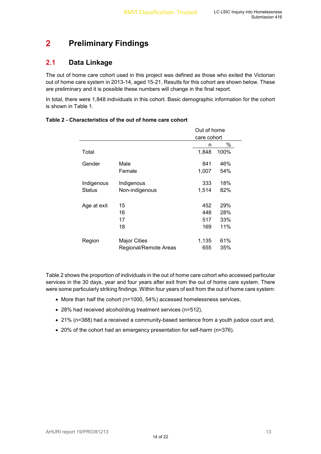#### **Preliminary Findings**  $\overline{2}$

### **2.1 Data Linkage**

The out of home care cohort used in this project was defined as those who exited the Victorian out of home care system in 2013-14, aged 15-21. Results for this cohort are shown below. These are preliminary and it is possible these numbers will change in the final report.

In total, there were 1,848 individuals in this cohort. Basic demographic information for the cohort is shown in Table 1.

|               |                       | Out of home |      |
|---------------|-----------------------|-------------|------|
|               |                       | care cohort |      |
|               |                       | n           | %    |
| Total         |                       | 1,848       | 100% |
| Gender        | Male                  | 841         | 46%  |
|               | Female                | 1,007       | 54%  |
| Indigenous    | Indigenous            | 333         | 18%  |
| <b>Status</b> | Non-indigenous        | 1,514       | 82%  |
| Age at exit   | 15                    | 452         | 29%  |
|               | 16                    | 448         | 28%  |
|               | 17                    | 517         | 33%  |
|               | 18                    | 169         | 11%  |
| Region        | <b>Major Cities</b>   | 1,135       | 61%  |
|               | Regional/Remote Areas | 655         | 35%  |

#### **Table 2 - Characteristics of the out of home care cohort**

Table 2 shows the proportion of individuals in the out of home care cohort who accessed particular services in the 30 days, year and four years after exit from the out of home care system. There were some particularly striking findings. Within four years of exit from the out of home care system:

- More than half the cohort (n=1000, 54%) accessed homelessness services,
- 28% had received alcohol/drug treatment services (n=512),
- 21% (n=388) had a received a community-based sentence from a youth justice court and,
- 20% of the cohort had an emergency presentation for self-harm (n=376).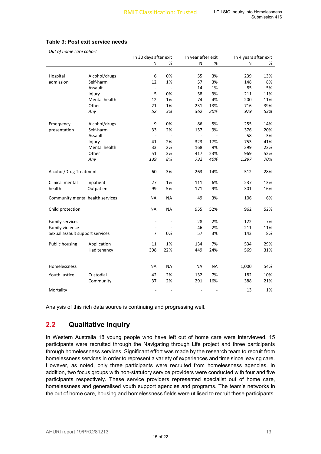|                                  |               | In 30 days after exit    |           | In year after exit |           | In 4 years after exit |     |
|----------------------------------|---------------|--------------------------|-----------|--------------------|-----------|-----------------------|-----|
|                                  |               | N                        | %         | N                  | %         | N                     | %   |
|                                  |               |                          |           |                    |           |                       |     |
| Hospital                         | Alcohol/drugs | 6                        | 0%        | 55                 | 3%        | 239                   | 13% |
| admission                        | Self-harm     | 12                       | 1%        | 57                 | 3%        | 148                   | 8%  |
|                                  | Assault       | $\blacksquare$           | ÷,        | 14                 | 1%        | 85                    | 5%  |
|                                  | Injury        | 5                        | 0%        | 58                 | 3%        | 211                   | 11% |
|                                  | Mental health | 12                       | 1%        | 74                 | 4%        | 200                   | 11% |
|                                  | Other         | 21                       | 1%        | 231                | 13%       | 716                   | 39% |
|                                  | Any           | 52                       | 3%        | 362                | 20%       | 979                   | 53% |
| Emergency                        | Alcohol/drugs | 9                        | 0%        | 86                 | 5%        | 255                   | 14% |
| presentation                     | Self-harm     | 33                       | 2%        | 157                | 9%        | 376                   | 20% |
|                                  | Assault       | $\blacksquare$           | ÷,        | ÷,                 |           | 58                    | 3%  |
|                                  | Injury        | 41                       | 2%        | 323                | 17%       | 753                   | 41% |
|                                  | Mental health | 33                       | 2%        | 168                | 9%        | 399                   | 22% |
|                                  | Other         | 51                       | 3%        | 417                | 23%       | 969                   | 52% |
|                                  | Any           | 139                      | 8%        | 732                | 40%       | 1,297                 | 70% |
| Alcohol/Drug Treatment           |               | 60                       | 3%        | 263                | 14%       | 512                   | 28% |
| Clinical mental                  | Inpatient     | 27                       | 1%        | 111                | 6%        | 237                   | 13% |
| health                           | Outpatient    | 99                       | 5%        | 171                | 9%        | 301                   | 16% |
| Community mental health services |               | <b>NA</b>                | NА        | 49                 | 3%        | 106                   | 6%  |
| Child protection                 |               | <b>NA</b>                | <b>NA</b> | 955                | 52%       | 962                   | 52% |
| Family services                  |               | $\overline{\phantom{a}}$ | ÷,        | 28                 | 2%        | 122                   | 7%  |
| Family violence                  |               | $\overline{\phantom{a}}$ |           | 46                 | 2%        | 211                   | 11% |
| Sexual assault support services  |               | $\overline{7}$           | 0%        | 57                 | 3%        | 143                   | 8%  |
| Public housing                   | Application   | 11                       | 1%        | 134                | 7%        | 534                   | 29% |
|                                  | Had tenancy   | 398                      | 22%       | 449                | 24%       | 569                   | 31% |
| Homelessness                     |               | <b>NA</b>                | NА        | <b>NA</b>          | <b>NA</b> | 1,000                 | 54% |
| Youth justice                    | Custodial     | 42                       | 2%        | 132                | 7%        | 182                   | 10% |
|                                  | Community     | 37                       | 2%        | 291                | 16%       | 388                   | 21% |
| Mortality                        |               |                          |           |                    |           | 13                    | 1%  |

#### **Table 3: Post exit service needs**

*Out of home care cohort*

Analysis of this rich data source is continuing and progressing well.

### **2.2 Qualitative Inquiry**

In Western Australia 18 young people who have left out of home care were interviewed. 15 participants were recruited through the Navigating through Life project and three participants through homelessness services. Significant effort was made by the research team to recruit from homelessness services in order to represent a variety of experiences and time since leaving care. However, as noted, only three participants were recruited from homelessness agencies. In addition, two focus groups with non-statutory service providers were conducted with four and five participants respectively. These service providers represented specialist out of home care, homelessness and generalised youth support agencies and programs. The team's networks in the out of home care, housing and homelessness fields were utilised to recruit these participants.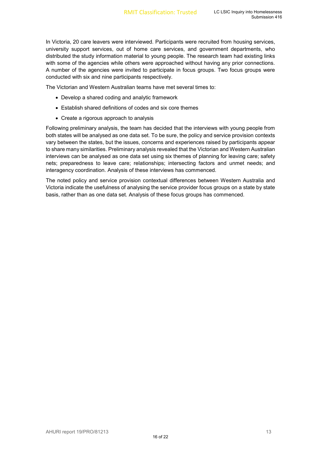In Victoria, 20 care leavers were interviewed. Participants were recruited from housing services, university support services, out of home care services, and government departments, who distributed the study information material to young people. The research team had existing links with some of the agencies while others were approached without having any prior connections. A number of the agencies were invited to participate in focus groups. Two focus groups were conducted with six and nine participants respectively.

The Victorian and Western Australian teams have met several times to:

- Develop a shared coding and analytic framework
- Establish shared definitions of codes and six core themes
- Create a rigorous approach to analysis

Following preliminary analysis, the team has decided that the interviews with young people from both states will be analysed as one data set. To be sure, the policy and service provision contexts vary between the states, but the issues, concerns and experiences raised by participants appear to share many similarities. Preliminary analysis revealed that the Victorian and Western Australian interviews can be analysed as one data set using six themes of planning for leaving care; safety nets; preparedness to leave care; relationships; intersecting factors and unmet needs; and interagency coordination. Analysis of these interviews has commenced.

The noted policy and service provision contextual differences between Western Australia and Victoria indicate the usefulness of analysing the service provider focus groups on a state by state basis, rather than as one data set. Analysis of these focus groups has commenced.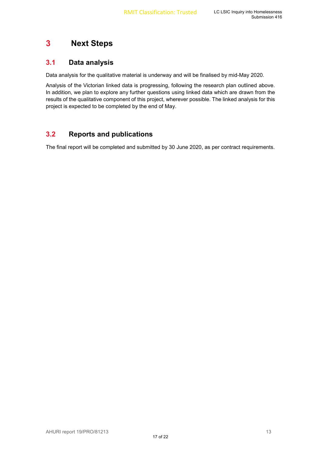#### **Next Steps**  $\mathbf{3}$

### **3.1 Data analysis**

Data analysis for the qualitative material is underway and will be finalised by mid-May 2020.

Analysis of the Victorian linked data is progressing, following the research plan outlined above. In addition, we plan to explore any further questions using linked data which are drawn from the results of the qualitative component of this project, wherever possible. The linked analysis for this project is expected to be completed by the end of May.

### **3.2 Reports and publications**

The final report will be completed and submitted by 30 June 2020, as per contract requirements.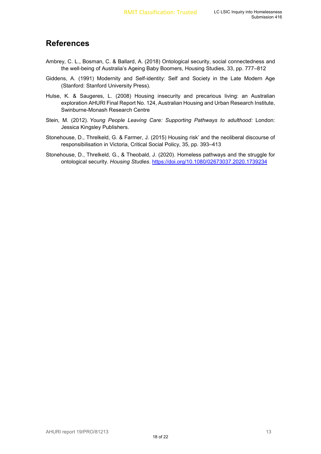## **References**

- Ambrey, C. L., Bosman, C. & Ballard, A. (2018) Ontological security, social connectedness and the well-being of Australia's Ageing Baby Boomers, Housing Studies, 33, pp. 777–812
- Giddens, A. (1991) Modernity and Self-identity: Self and Society in the Late Modern Age (Stanford: Stanford University Press).
- Hulse, K. & Saugeres, L. (2008) Housing insecurity and precarious living: an Australian exploration AHURI Final Report No. 124, Australian Housing and Urban Research Institute, Swinburne-Monash Research Centre
- Stein, M. (2012). *Young People Leaving Care: Supporting Pathways to adulthood:* London: Jessica Kingsley Publishers.
- Stonehouse, D., Threlkeld, G. & Farmer, J. (2015) Housing risk' and the neoliberal discourse of responsibilisation in Victoria, Critical Social Policy, 35, pp. 393–413
- Stonehouse, D., Threlkeld, G., & Theobald, J. (2020). Homeless pathways and the struggle for ontological security. *Housing Studies*. https://doi.org/10.1080/02673037.2020.1739234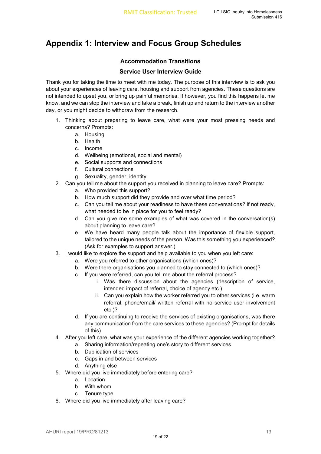## **Appendix 1: Interview and Focus Group Schedules**

#### **Accommodation Transitions**

#### **Service User Interview Guide**

Thank you for taking the time to meet with me today. The purpose of this interview is to ask you about your experiences of leaving care, housing and support from agencies. These questions are not intended to upset you, or bring up painful memories. If however, you find this happens let me know, and we can stop the interview and take a break, finish up and return to the interview another day, or you might decide to withdraw from the research.

- 1. Thinking about preparing to leave care, what were your most pressing needs and concerns? Prompts:
	- a. Housing
	- b. Health
	- c. Income
	- d. Wellbeing (emotional, social and mental)
	- e. Social supports and connections
	- f. Cultural connections
	- g. Sexuality, gender, identity
- 2. Can you tell me about the support you received in planning to leave care? Prompts:
	- a. Who provided this support?
	- b. How much support did they provide and over what time period?
	- c. Can you tell me about your readiness to have these conversations? If not ready, what needed to be in place for you to feel ready?
	- d. Can you give me some examples of what was covered in the conversation(s) about planning to leave care?
	- e. We have heard many people talk about the importance of flexible support, tailored to the unique needs of the person. Was this something you experienced? (Ask for examples to support answer.)
- 3. I would like to explore the support and help available to you when you left care:
	- a. Were you referred to other organisations (which ones)?
		- b. Were there organisations you planned to stay connected to (which ones)?
		- c. If you were referred, can you tell me about the referral process?
			- i. Was there discussion about the agencies (description of service, intended impact of referral, choice of agency etc.)
			- ii. Can you explain how the worker referred you to other services (i.e. warm referral, phone/email/ written referral with no service user involvement etc.)?
		- d. If you are continuing to receive the services of existing organisations, was there any communication from the care services to these agencies? (Prompt for details of this)
- 4. After you left care, what was your experience of the different agencies working together?
	- a. Sharing information/repeating one's story to different services
	- b. Duplication of services
	- c. Gaps in and between services
	- d. Anything else
- 5. Where did you live immediately before entering care?
	- a. Location
	- b. With whom
	- c. Tenure type
- 6. Where did you live immediately after leaving care?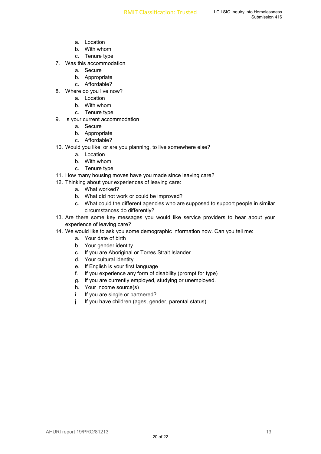- a. Location
- b. With whom
- c. Tenure type
- 7. Was this accommodation
	- a. Secure
	- b. Appropriate
	- c. Affordable?
- 8. Where do you live now?
	- a. Location
	- b. With whom
	- c. Tenure type
- 9. Is your current accommodation
	- a. Secure
	- b. Appropriate
	- c. Affordable?
- 10. Would you like, or are you planning, to live somewhere else?
	- a. Location
	- b. With whom
	- c. Tenure type
- 11. How many housing moves have you made since leaving care?
- 12. Thinking about your experiences of leaving care:
	- a. What worked?
	- b. What did not work or could be improved?
	- c. What could the different agencies who are supposed to support people in similar circumstances do differently?
- 13. Are there some key messages you would like service providers to hear about your experience of leaving care?
- 14. We would like to ask you some demographic information now. Can you tell me:
	- a. Your date of birth
	- b. Your gender identity
	- c. If you are Aboriginal or Torres Strait Islander
	- d. Your cultural identity
	- e. If English is your first language
	- f. If you experience any form of disability (prompt for type)
	- g. If you are currently employed, studying or unemployed.
	- h. Your income source(s)
	- i. If you are single or partnered?
	- j. If you have children (ages, gender, parental status)